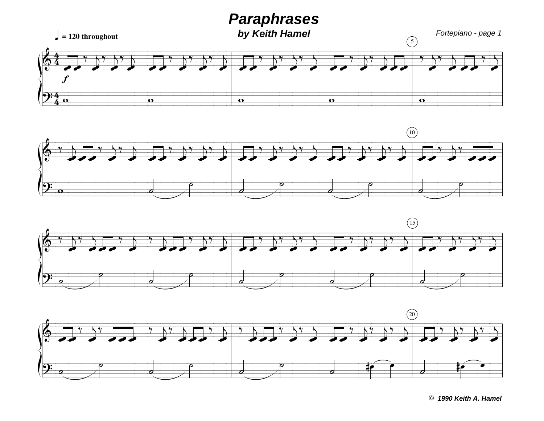## **Paraphrases**

Fortepiano - page 1







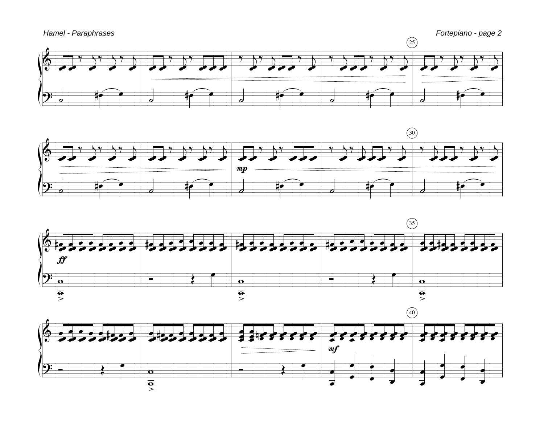Hamel - Paraphrases

Fortepiano - page 2







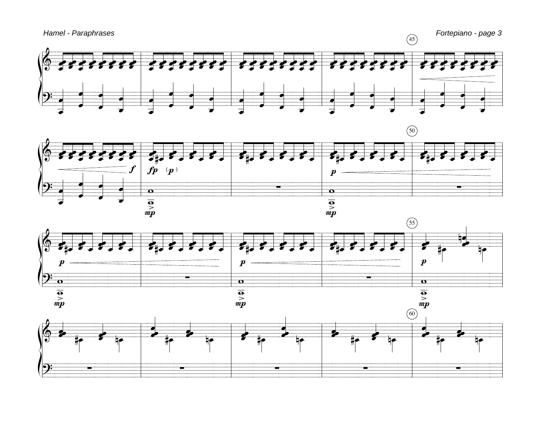$\overline{45}$ 



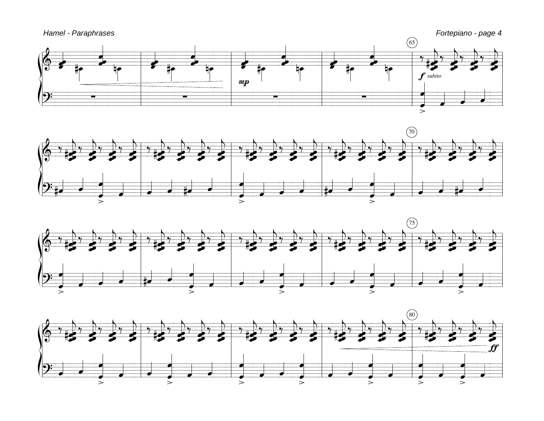





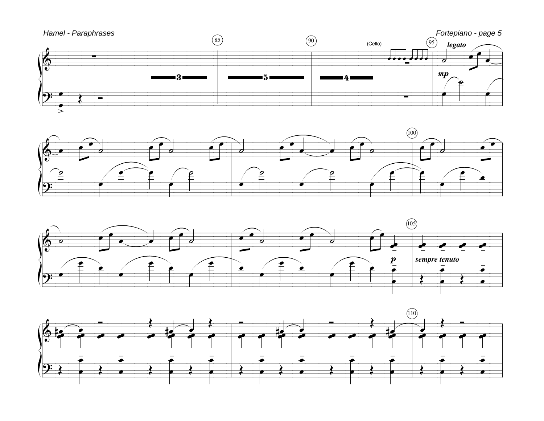





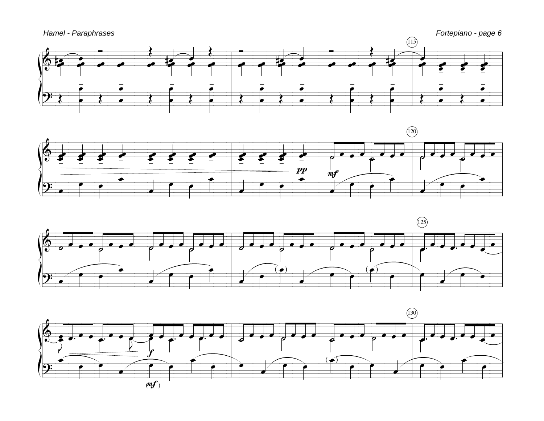





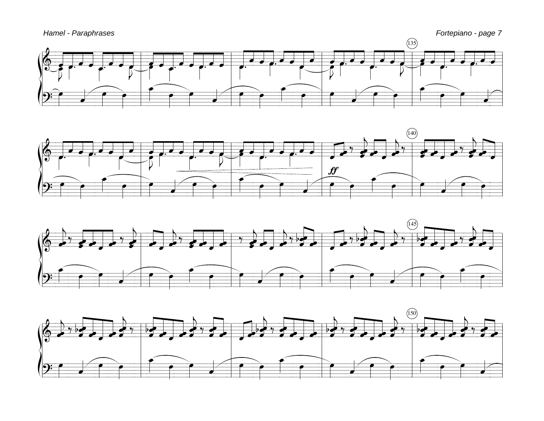

Fortepiano - page 7







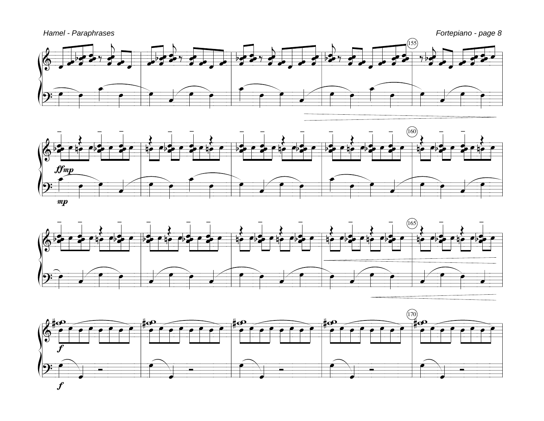

Fortepiano - page 8







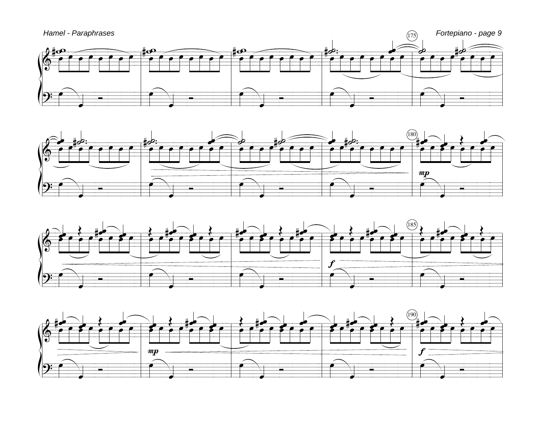





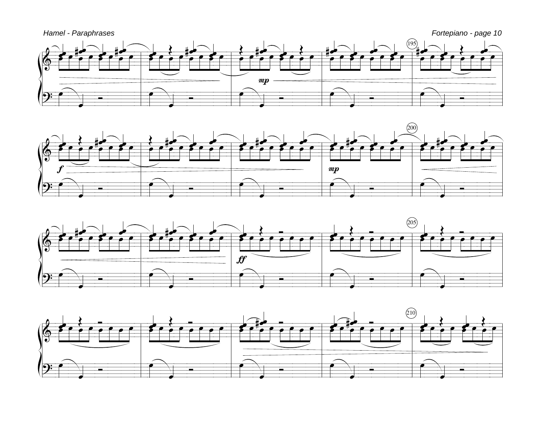





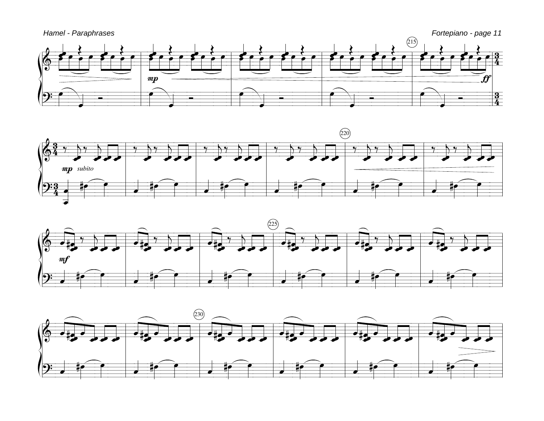